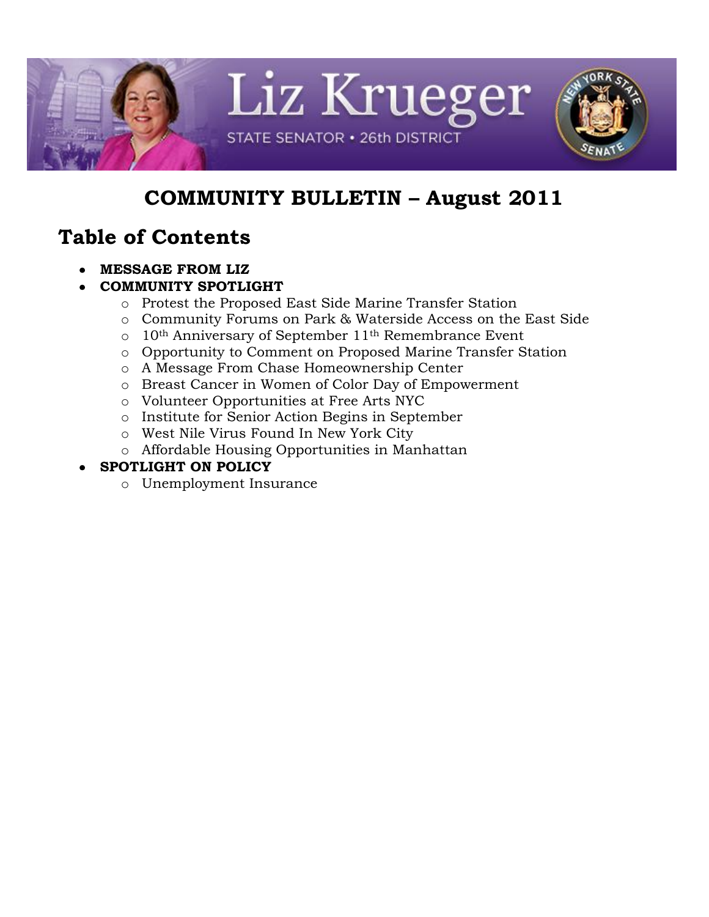

# **COMMUNITY BULLETIN – August 2011**

# **Table of Contents**

**MESSAGE FROM LIZ**

## **COMMUNITY SPOTLIGHT**

- o Protest the Proposed East Side Marine Transfer Station
- o Community Forums on Park & Waterside Access on the East Side
- o 10th Anniversary of September 11th Remembrance Event
- o Opportunity to Comment on Proposed Marine Transfer Station
- o A Message From Chase Homeownership Center
- o Breast Cancer in Women of Color Day of Empowerment
- o Volunteer Opportunities at Free Arts NYC
- o Institute for Senior Action Begins in September
- o West Nile Virus Found In New York City
- o Affordable Housing Opportunities in Manhattan

# **SPOTLIGHT ON POLICY**

o Unemployment Insurance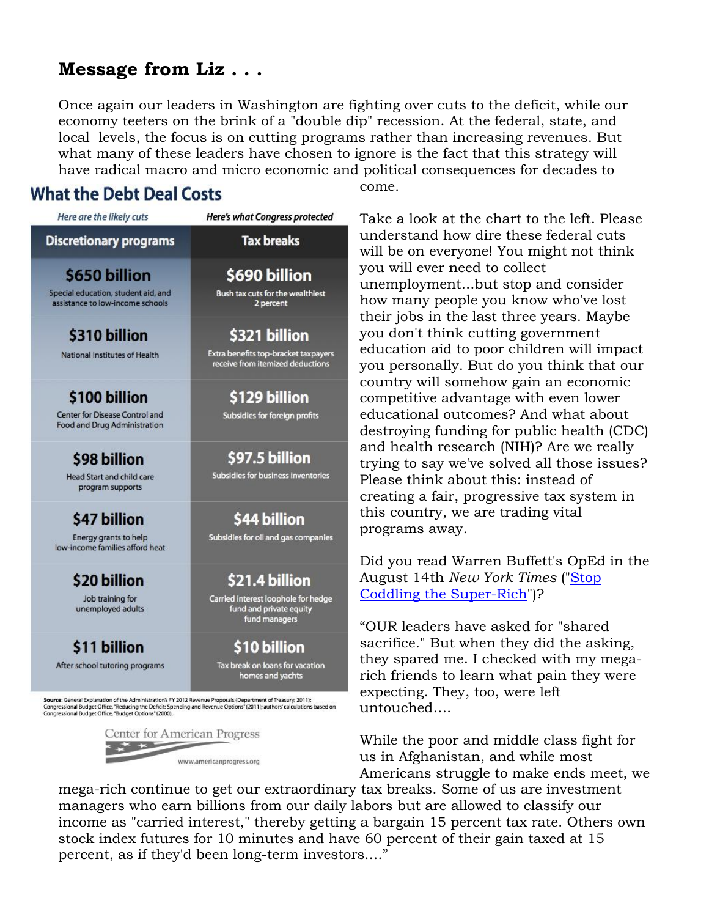# **Message from Liz . . .**

Once again our leaders in Washington are fighting over cuts to the deficit, while our economy teeters on the brink of a "double dip" recession. At the federal, state, and local levels, the focus is on cutting programs rather than increasing revenues. But what many of these leaders have chosen to ignore is the fact that this strategy will have radical macro and micro economic and political consequences for decades to

# **What the Debt Deal Costs**

| Here are the likely cuts                                                                                                                                                                                                                                                                                                           | <b>Here's what Congress protected</b>                                                             |
|------------------------------------------------------------------------------------------------------------------------------------------------------------------------------------------------------------------------------------------------------------------------------------------------------------------------------------|---------------------------------------------------------------------------------------------------|
| <b>Discretionary programs</b>                                                                                                                                                                                                                                                                                                      | <b>Tax breaks</b>                                                                                 |
| \$650 billion<br>Special education, student aid, and<br>assistance to low-income schools                                                                                                                                                                                                                                           | \$690 billion<br>Bush tax cuts for the wealthiest<br>2 percent                                    |
| \$310 billion<br>National Institutes of Health                                                                                                                                                                                                                                                                                     | \$321 billion<br>Extra benefits top-bracket taxpayers<br>receive from itemized deductions         |
| \$100 billion<br>Center for Disease Control and<br><b>Food and Drug Administration</b>                                                                                                                                                                                                                                             | \$129 billion<br>Subsidies for foreign profits                                                    |
| \$98 billion<br>Head Start and child care<br>program supports                                                                                                                                                                                                                                                                      | \$97.5 billion<br>Subsidies for business inventories                                              |
| \$47 billion<br>Energy grants to help<br>low-income families afford heat                                                                                                                                                                                                                                                           | \$44 billion<br>Subsidies for oil and gas companies                                               |
| \$20 billion<br>Job training for<br>unemployed adults                                                                                                                                                                                                                                                                              | \$21.4 billion<br>Carried interest loophole for hedge<br>fund and private equity<br>fund managers |
| \$11 billion<br>After school tutoring programs                                                                                                                                                                                                                                                                                     | \$10 billion<br>Tax break on loans for vacation<br>homes and yachts                               |
| Source: General Explanation of the Administration's FY 2012 Revenue Proposals (Department of Treasury, 2011);<br>Congressional Budget Office, "Reducing the Deficit: Spending and Revenue Options" (2011); authors' calculations based on<br>Congressional Budget Office, "Budget Options" (2000).<br>Center for American Progress |                                                                                                   |

www.americanprogress.org

come.

Take a look at the chart to the left. Please understand how dire these federal cuts will be on everyone! You might not think you will ever need to collect unemployment...but stop and consider how many people you know who've lost their jobs in the last three years. Maybe you don't think cutting government education aid to poor children will impact you personally. But do you think that our country will somehow gain an economic competitive advantage with even lower educational outcomes? And what about destroying funding for public health (CDC) and health research (NIH)? Are we really trying to say we've solved all those issues? Please think about this: instead of creating a fair, progressive tax system in this country, we are trading vital programs away.

Did you read Warren Buffett's OpEd in the August 14th *New York Times* (["Stop](http://www.nytimes.com/2011/08/15/opinion/stop-coddling-the-super-rich.html)  [Coddling the Super-Rich"](http://www.nytimes.com/2011/08/15/opinion/stop-coddling-the-super-rich.html))?

"OUR leaders have asked for "shared sacrifice." But when they did the asking, they spared me. I checked with my megarich friends to learn what pain they were expecting. They, too, were left untouched….

While the poor and middle class fight for us in Afghanistan, and while most Americans struggle to make ends meet, we

mega-rich continue to get our extraordinary tax breaks. Some of us are investment managers who earn billions from our daily labors but are allowed to classify our income as "carried interest," thereby getting a bargain 15 percent tax rate. Others own stock index futures for 10 minutes and have 60 percent of their gain taxed at 15 percent, as if they'd been long-term investors...."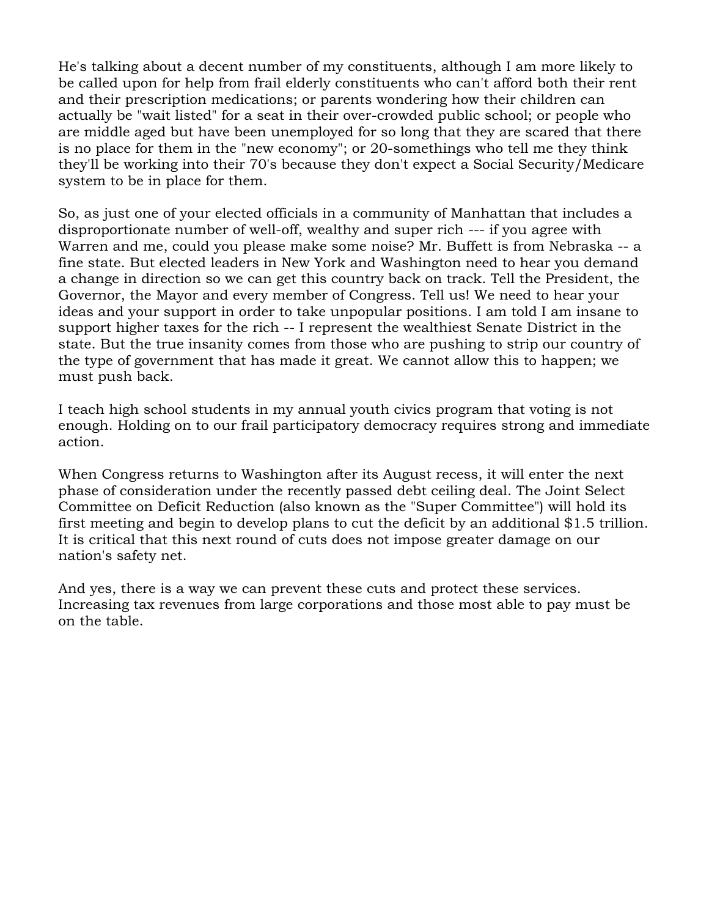He's talking about a decent number of my constituents, although I am more likely to be called upon for help from frail elderly constituents who can't afford both their rent and their prescription medications; or parents wondering how their children can actually be "wait listed" for a seat in their over-crowded public school; or people who are middle aged but have been unemployed for so long that they are scared that there is no place for them in the "new economy"; or 20-somethings who tell me they think they'll be working into their 70's because they don't expect a Social Security/Medicare system to be in place for them.

So, as just one of your elected officials in a community of Manhattan that includes a disproportionate number of well-off, wealthy and super rich --- if you agree with Warren and me, could you please make some noise? Mr. Buffett is from Nebraska -- a fine state. But elected leaders in New York and Washington need to hear you demand a change in direction so we can get this country back on track. Tell the President, the Governor, the Mayor and every member of Congress. Tell us! We need to hear your ideas and your support in order to take unpopular positions. I am told I am insane to support higher taxes for the rich -- I represent the wealthiest Senate District in the state. But the true insanity comes from those who are pushing to strip our country of the type of government that has made it great. We cannot allow this to happen; we must push back.

I teach high school students in my annual youth civics program that voting is not enough. Holding on to our frail participatory democracy requires strong and immediate action.

When Congress returns to Washington after its August recess, it will enter the next phase of consideration under the recently passed debt ceiling deal. The Joint Select Committee on Deficit Reduction (also known as the "Super Committee") will hold its first meeting and begin to develop plans to cut the deficit by an additional \$1.5 trillion. It is critical that this next round of cuts does not impose greater damage on our nation's safety net.

And yes, there is a way we can prevent these cuts and protect these services. Increasing tax revenues from large corporations and those most able to pay must be on the table.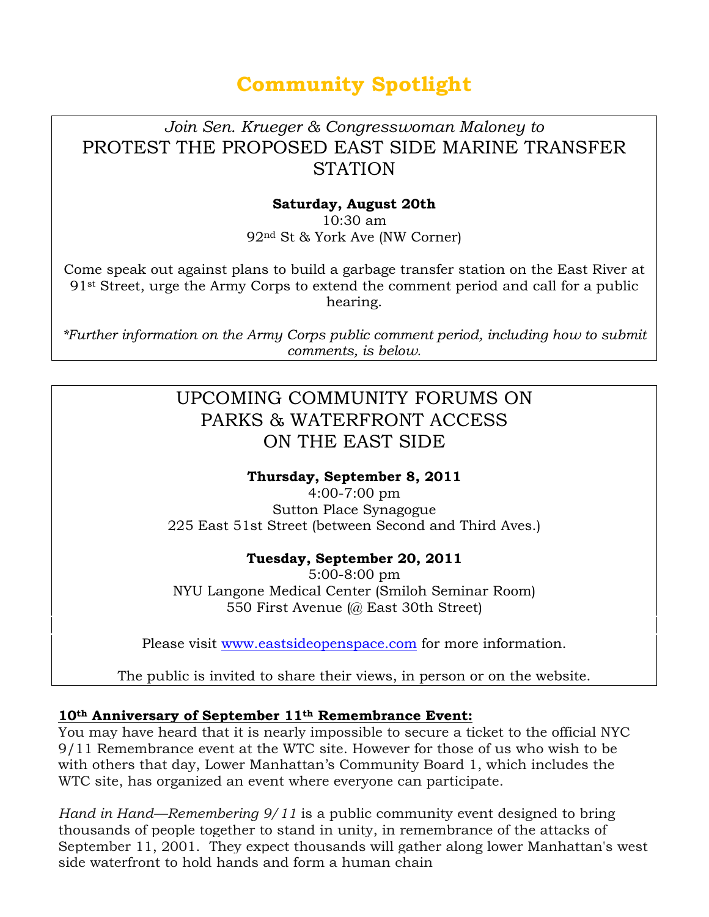# **Community Spotlight**

# *Join Sen. Krueger & Congresswoman Maloney to* PROTEST THE PROPOSED EAST SIDE MARINE TRANSFER **STATION**

#### **Saturday, August 20th**

 $10:30 \text{ am}$ 92nd St & York Ave (NW Corner)

Come speak out against plans to build a garbage transfer station on the East River at 91st Street, urge the Army Corps to extend the comment period and call for a public hearing.

*\*Further information on the Army Corps public comment period, including how to submit comments, is below.*

# UPCOMING COMMUNITY FORUMS ON PARKS & WATERFRONT ACCESS ON THE EAST SIDE

## **Thursday, September 8, 2011**

4:00-7:00 pm Sutton Place Synagogue 225 East 51st Street (between Second and Third Aves.)

#### **Tuesday, September 20, 2011**

5:00-8:00 pm NYU Langone Medical Center (Smiloh Seminar Room) 550 First Avenue (@ East 30th Street)

Please visit [www.eastsideopenspace.com](http://www.eastsideopenspace.com/) for more information.

The public is invited to share their views, in person or on the website.

#### **10th Anniversary of September 11th Remembrance Event:**

You may have heard that it is nearly impossible to secure a ticket to the official NYC 9/11 Remembrance event at the WTC site. However for those of us who wish to be with others that day, Lower Manhattan's Community Board 1, which includes the WTC site, has organized an event where everyone can participate.

*Hand in Hand—Remembering 9/11* is a public community event designed to bring thousands of people together to stand in unity, in remembrance of the attacks of September 11, 2001. They expect thousands will gather along lower Manhattan's west side waterfront to hold hands and form a human chain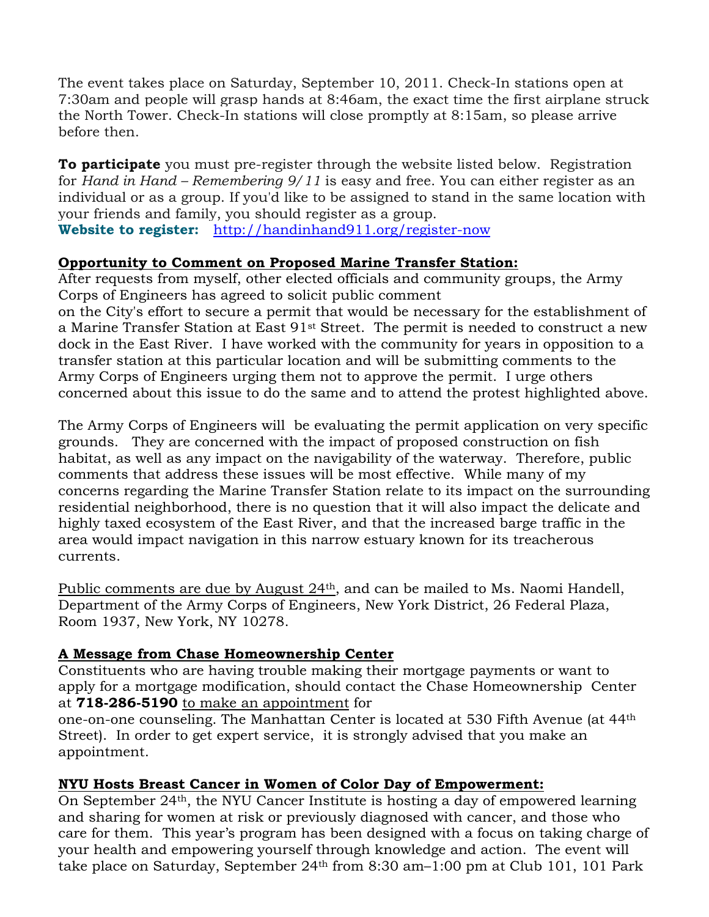The event takes place on Saturday, September 10, 2011. Check-In stations open at 7:30am and people will grasp hands at 8:46am, the exact time the first airplane struck the North Tower. Check-In stations will close promptly at 8:15am, so please arrive before then.

**To participate** you must pre-register through the website listed below. Registration for *Hand in Hand – Remembering 9/11* is easy and free. You can either register as an individual or as a group. If you'd like to be assigned to stand in the same location with your friends and family, you should register as a group. **Website to register:** <http://handinhand911.org/register-now>

## **Opportunity to Comment on Proposed Marine Transfer Station:**

After requests from myself, other elected officials and community groups, the Army Corps of Engineers has agreed to solicit public comment

on the City's effort to secure a permit that would be necessary for the establishment of a Marine Transfer Station at East 91st Street. The permit is needed to construct a new dock in the East River. I have worked with the community for years in opposition to a transfer station at this particular location and will be submitting comments to the Army Corps of Engineers urging them not to approve the permit. I urge others concerned about this issue to do the same and to attend the protest highlighted above.

The Army Corps of Engineers will be evaluating the permit application on very specific grounds. They are concerned with the impact of proposed construction on fish habitat, as well as any impact on the navigability of the waterway. Therefore, public comments that address these issues will be most effective. While many of my concerns regarding the Marine Transfer Station relate to its impact on the surrounding residential neighborhood, there is no question that it will also impact the delicate and highly taxed ecosystem of the East River, and that the increased barge traffic in the area would impact navigation in this narrow estuary known for its treacherous currents.

Public comments are due by August 24th, and can be mailed to Ms. Naomi Handell, Department of the Army Corps of Engineers, New York District, 26 Federal Plaza, Room 1937, New York, NY 10278.

## **A Message from Chase Homeownership Center**

Constituents who are having trouble making their mortgage payments or want to apply for a mortgage modification, should contact the Chase Homeownership Center at **718-286-5190** to make an appointment for

one-on-one counseling. The Manhattan Center is located at 530 Fifth Avenue (at 44th Street). In order to get expert service, it is strongly advised that you make an appointment.

## **NYU Hosts Breast Cancer in Women of Color Day of Empowerment:**

On September 24th, the NYU Cancer Institute is hosting a day of empowered learning and sharing for women at risk or previously diagnosed with cancer, and those who care for them. This year's program has been designed with a focus on taking charge of your health and empowering yourself through knowledge and action. The event will take place on Saturday, September 24th from 8:30 am–1:00 pm at Club 101, 101 Park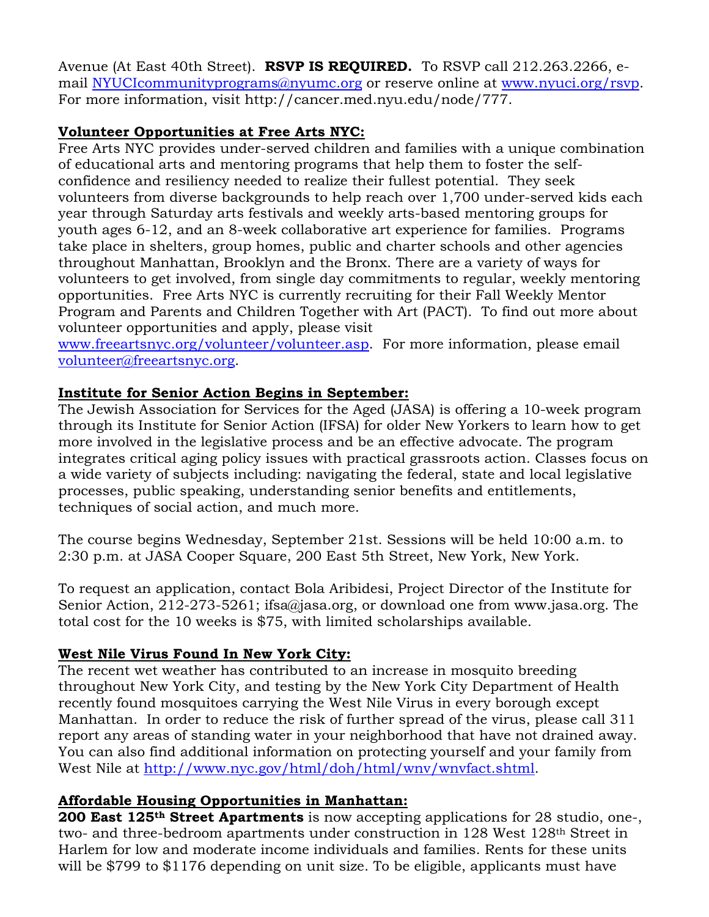Avenue (At East 40th Street). **RSVP IS REQUIRED.** To RSVP call 212.263.2266, email [NYUCIcommunityprograms@nyumc.org](mailto:NYUCIcommunityprograms@nyumc.org?subject=RSVP%20Neurofibroma%20Educational%20Series) or reserve online at [www.nyuci.org/rsvp.](http://cancer.med.nyu.edu/rsvp) For more information, visit http://cancer.med.nyu.edu/node/777.

## **Volunteer Opportunities at Free Arts NYC:**

Free Arts NYC provides under-served children and families with a unique combination of educational arts and mentoring programs that help them to foster the selfconfidence and resiliency needed to realize their fullest potential. They seek volunteers from diverse backgrounds to help reach over 1,700 under-served kids each year through Saturday arts festivals and weekly arts-based mentoring groups for youth ages 6-12, and an 8-week collaborative art experience for families. Programs take place in shelters, group homes, public and charter schools and other agencies throughout Manhattan, Brooklyn and the Bronx. There are a variety of ways for volunteers to get involved, from single day commitments to regular, weekly mentoring opportunities. Free Arts NYC is currently recruiting for their Fall Weekly Mentor Program and Parents and Children Together with Art (PACT). To find out more about volunteer opportunities and apply, please visit

[www.freeartsnyc.org/volunteer/volunteer.asp.](http://www.freeartsnyc.org/volunteer/volunteer.asp) For more information, please email [volunteer@freeartsnyc.org.](mailto:volunteer@freeartsnyc.org)

## **Institute for Senior Action Begins in September:**

The Jewish Association for Services for the Aged (JASA) is offering a 10-week program through its Institute for Senior Action (IFSA) for older New Yorkers to learn how to get more involved in the legislative process and be an effective advocate. The program integrates critical aging policy issues with practical grassroots action. Classes focus on a wide variety of subjects including: navigating the federal, state and local legislative processes, public speaking, understanding senior benefits and entitlements, techniques of social action, and much more.

The course begins Wednesday, September 21st. Sessions will be held 10:00 a.m. to 2:30 p.m. at JASA Cooper Square, 200 East 5th Street, New York, New York.

To request an application, contact Bola Aribidesi, Project Director of the Institute for Senior Action, 212-273-5261; ifsa@jasa.org, or download one from www.jasa.org. The total cost for the 10 weeks is \$75, with limited scholarships available.

# **West Nile Virus Found In New York City:**

The recent wet weather has contributed to an increase in mosquito breeding throughout New York City, and testing by the New York City Department of Health recently found mosquitoes carrying the West Nile Virus in every borough except Manhattan. In order to reduce the risk of further spread of the virus, please call 311 report any areas of standing water in your neighborhood that have not drained away. You can also find additional information on protecting yourself and your family from West Nile at [http://www.nyc.gov/html/doh/html/wnv/wnvfact.shtml.](http://www.nyc.gov/html/doh/html/wnv/wnvfact.shtml)

## **Affordable Housing Opportunities in Manhattan:**

**200 East 125th Street Apartments** is now accepting applications for 28 studio, one-, two- and three-bedroom apartments under construction in 128 West 128th Street in Harlem for low and moderate income individuals and families. Rents for these units will be \$799 to \$1176 depending on unit size. To be eligible, applicants must have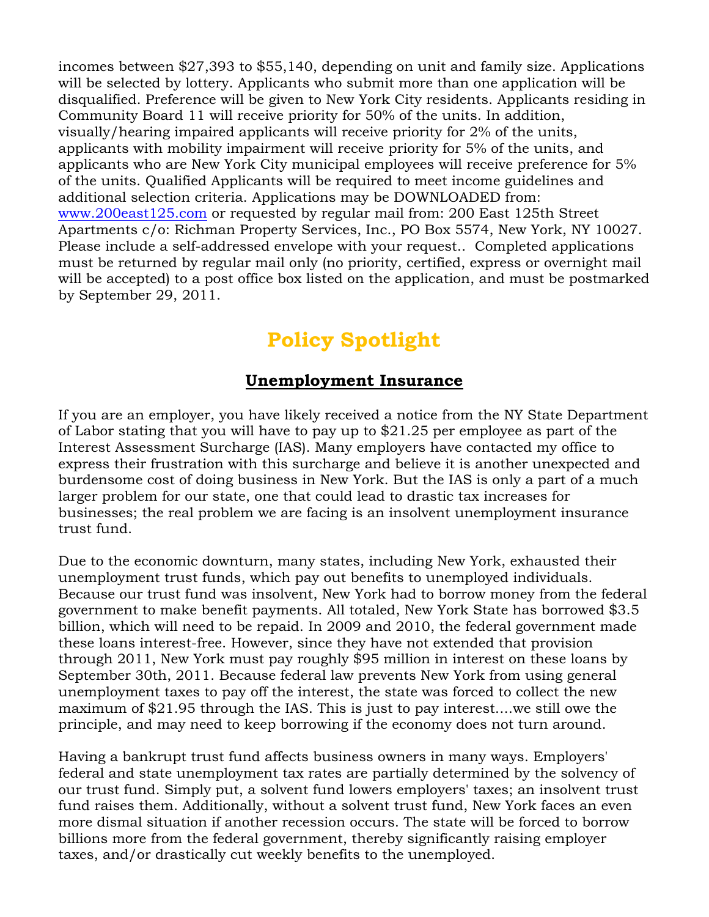incomes between \$27,393 to \$55,140, depending on unit and family size. Applications will be selected by lottery. Applicants who submit more than one application will be disqualified. Preference will be given to New York City residents. Applicants residing in Community Board 11 will receive priority for 50% of the units. In addition, visually/hearing impaired applicants will receive priority for 2% of the units, applicants with mobility impairment will receive priority for 5% of the units, and applicants who are New York City municipal employees will receive preference for 5% of the units. Qualified Applicants will be required to meet income guidelines and additional selection criteria. Applications may be DOWNLOADED from: [www.200east125.com](http://www.200east125.com/) or requested by regular mail from: 200 East 125th Street Apartments c/o: Richman Property Services, Inc., PO Box 5574, New York, NY 10027. Please include a self-addressed envelope with your request.. Completed applications must be returned by regular mail only (no priority, certified, express or overnight mail will be accepted) to a post office box listed on the application, and must be postmarked by September 29, 2011.

# **Policy Spotlight**

# **Unemployment Insurance**

If you are an employer, you have likely received a notice from the NY State Department of Labor stating that you will have to pay up to \$21.25 per employee as part of the Interest Assessment Surcharge (IAS). Many employers have contacted my office to express their frustration with this surcharge and believe it is another unexpected and burdensome cost of doing business in New York. But the IAS is only a part of a much larger problem for our state, one that could lead to drastic tax increases for businesses; the real problem we are facing is an insolvent unemployment insurance trust fund.

Due to the economic downturn, many states, including New York, exhausted their unemployment trust funds, which pay out benefits to unemployed individuals. Because our trust fund was insolvent, New York had to borrow money from the federal government to make benefit payments. All totaled, New York State has borrowed \$3.5 billion, which will need to be repaid. In 2009 and 2010, the federal government made these loans interest-free. However, since they have not extended that provision through 2011, New York must pay roughly \$95 million in interest on these loans by September 30th, 2011. Because federal law prevents New York from using general unemployment taxes to pay off the interest, the state was forced to collect the new maximum of \$21.95 through the IAS. This is just to pay interest....we still owe the principle, and may need to keep borrowing if the economy does not turn around.

Having a bankrupt trust fund affects business owners in many ways. Employers' federal and state unemployment tax rates are partially determined by the solvency of our trust fund. Simply put, a solvent fund lowers employers' taxes; an insolvent trust fund raises them. Additionally, without a solvent trust fund, New York faces an even more dismal situation if another recession occurs. The state will be forced to borrow billions more from the federal government, thereby significantly raising employer taxes, and/or drastically cut weekly benefits to the unemployed.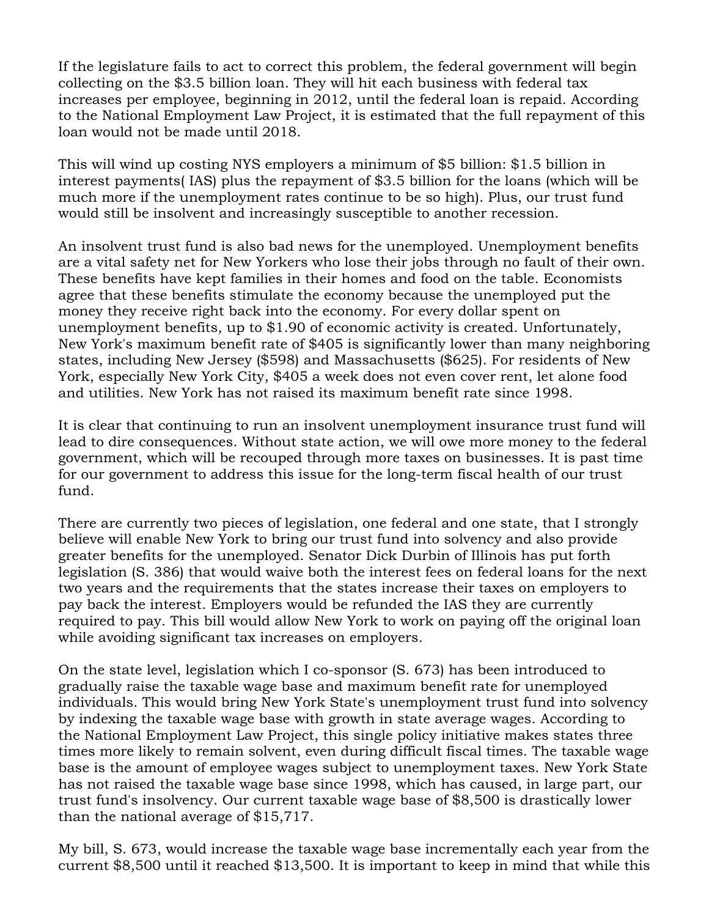If the legislature fails to act to correct this problem, the federal government will begin collecting on the \$3.5 billion loan. They will hit each business with federal tax increases per employee, beginning in 2012, until the federal loan is repaid. According to the National Employment Law Project, it is estimated that the full repayment of this loan would not be made until 2018.

This will wind up costing NYS employers a minimum of \$5 billion: \$1.5 billion in interest payments( IAS) plus the repayment of \$3.5 billion for the loans (which will be much more if the unemployment rates continue to be so high). Plus, our trust fund would still be insolvent and increasingly susceptible to another recession.

An insolvent trust fund is also bad news for the unemployed. Unemployment benefits are a vital safety net for New Yorkers who lose their jobs through no fault of their own. These benefits have kept families in their homes and food on the table. Economists agree that these benefits stimulate the economy because the unemployed put the money they receive right back into the economy. For every dollar spent on unemployment benefits, up to \$1.90 of economic activity is created. Unfortunately, New York's maximum benefit rate of \$405 is significantly lower than many neighboring states, including New Jersey (\$598) and Massachusetts (\$625). For residents of New York, especially New York City, \$405 a week does not even cover rent, let alone food and utilities. New York has not raised its maximum benefit rate since 1998.

It is clear that continuing to run an insolvent unemployment insurance trust fund will lead to dire consequences. Without state action, we will owe more money to the federal government, which will be recouped through more taxes on businesses. It is past time for our government to address this issue for the long-term fiscal health of our trust fund.

There are currently two pieces of legislation, one federal and one state, that I strongly believe will enable New York to bring our trust fund into solvency and also provide greater benefits for the unemployed. Senator Dick Durbin of Illinois has put forth legislation (S. 386) that would waive both the interest fees on federal loans for the next two years and the requirements that the states increase their taxes on employers to pay back the interest. Employers would be refunded the IAS they are currently required to pay. This bill would allow New York to work on paying off the original loan while avoiding significant tax increases on employers.

On the state level, legislation which I co-sponsor (S. 673) has been introduced to gradually raise the taxable wage base and maximum benefit rate for unemployed individuals. This would bring New York State's unemployment trust fund into solvency by indexing the taxable wage base with growth in state average wages. According to the National Employment Law Project, this single policy initiative makes states three times more likely to remain solvent, even during difficult fiscal times. The taxable wage base is the amount of employee wages subject to unemployment taxes. New York State has not raised the taxable wage base since 1998, which has caused, in large part, our trust fund's insolvency. Our current taxable wage base of \$8,500 is drastically lower than the national average of \$15,717.

My bill, S. 673, would increase the taxable wage base incrementally each year from the current \$8,500 until it reached \$13,500. It is important to keep in mind that while this